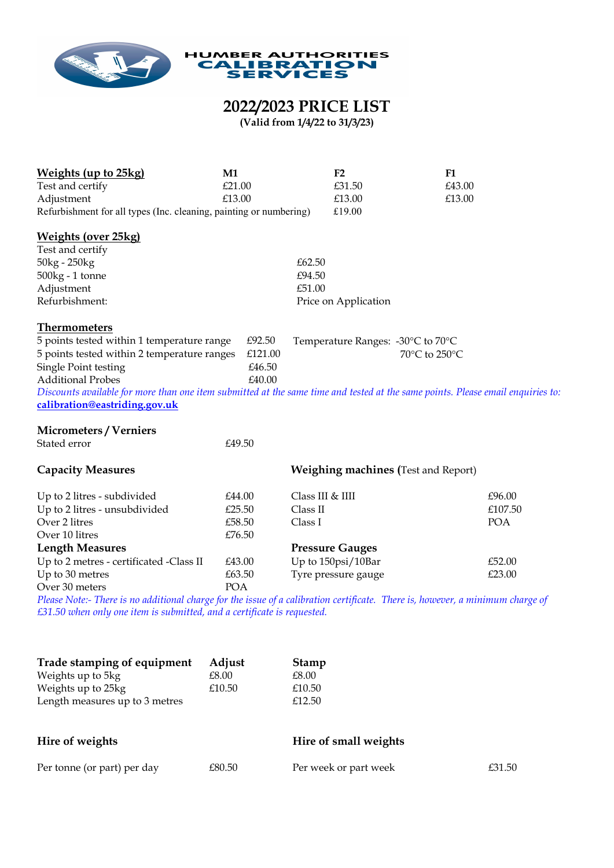

## **2022/2023 PRICE LIST**

**(Valid from 1/4/22 to 31/3/23)**

| <b>Weights (up to 25kg)</b>                                                                                                     | M1            |                      | F2                                         | F1     |         |
|---------------------------------------------------------------------------------------------------------------------------------|---------------|----------------------|--------------------------------------------|--------|---------|
| Test and certify                                                                                                                | £21.00        |                      | £31.50                                     | £43.00 |         |
| Adjustment                                                                                                                      | £13.00        |                      | £13.00                                     | £13.00 |         |
| Refurbishment for all types (Inc. cleaning, painting or numbering)                                                              |               |                      | £19.00                                     |        |         |
| <b>Weights (over 25kg)</b>                                                                                                      |               |                      |                                            |        |         |
| Test and certify                                                                                                                |               |                      |                                            |        |         |
| 50kg - 250kg                                                                                                                    |               | £62.50               |                                            |        |         |
| $500kg - 1$ tonne                                                                                                               |               | £94.50               |                                            |        |         |
| Adjustment                                                                                                                      | £51.00        |                      |                                            |        |         |
| Refurbishment:                                                                                                                  |               | Price on Application |                                            |        |         |
| <b>Thermometers</b>                                                                                                             |               |                      |                                            |        |         |
| 5 points tested within 1 temperature range<br>£92.50<br>Temperature Ranges: -30°C to 70°C                                       |               |                      |                                            |        |         |
| 5 points tested within 2 temperature ranges                                                                                     | 70°C to 250°C |                      |                                            |        |         |
| Single Point testing                                                                                                            | £46.50        |                      |                                            |        |         |
| <b>Additional Probes</b>                                                                                                        | £40.00        |                      |                                            |        |         |
| Discounts available for more than one item submitted at the same time and tested at the same points. Please email enquiries to: |               |                      |                                            |        |         |
| calibration@eastriding.gov.uk                                                                                                   |               |                      |                                            |        |         |
| <b>Micrometers / Verniers</b>                                                                                                   |               |                      |                                            |        |         |
| Stated error                                                                                                                    | £49.50        |                      |                                            |        |         |
| <b>Capacity Measures</b>                                                                                                        |               |                      | <b>Weighing machines (Test and Report)</b> |        |         |
| Up to 2 litres - subdivided                                                                                                     | £44.00        | Class III & IIII     |                                            |        | £96.00  |
| Up to 2 litres - unsubdivided                                                                                                   | £25.50        | Class II             |                                            |        | £107.50 |
| Over 2 litres                                                                                                                   | £58.50        | Class I              |                                            |        | POA     |
| Over 10 litres                                                                                                                  | £76.50        |                      |                                            |        |         |
| <b>Length Measures</b>                                                                                                          |               |                      | <b>Pressure Gauges</b>                     |        |         |
| Up to 2 metres - certificated -Class II                                                                                         | £43.00        |                      | Up to 150psi/10Bar                         |        | £52.00  |
| Up to 30 metres                                                                                                                 | £63.50        |                      | Tyre pressure gauge                        |        | £23.00  |
| Over 30 meters                                                                                                                  | POA           |                      |                                            |        |         |
| Please Note:- There is no additional charge for the issue of a calibration certificate. There is, however, a minimum charge of  |               |                      |                                            |        |         |
| £31.50 when only one item is submitted, and a certificate is requested.                                                         |               |                      |                                            |        |         |

| Adjust<br>Trade stamping of equipment | <b>Stamp</b>          |  |
|---------------------------------------|-----------------------|--|
| £8.00                                 | £8.00                 |  |
| £10.50                                | £10.50                |  |
|                                       | £12.50                |  |
|                                       |                       |  |
|                                       | Hire of small weights |  |
|                                       |                       |  |
|                                       |                       |  |